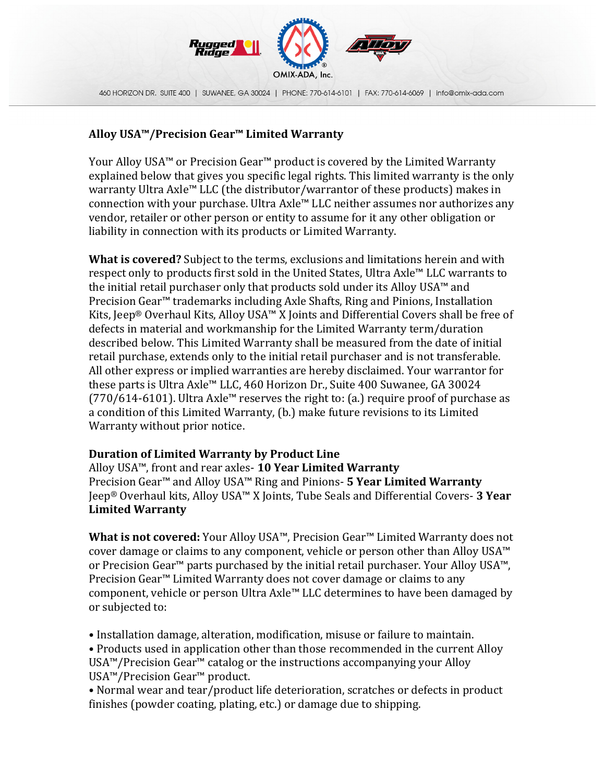

460 HORIZON DR. SUITE 400 | SUWANEE, GA 30024 | PHONE: 770-614-6101 | FAX: 770-614-6069 | Info@omlx-ada.com

## **Alloy USA™/Precision Gear™ Limited Warranty**

Your Alloy USA™ or Precision Gear™ product is covered by the Limited Warranty explained below that gives you specific legal rights. This limited warranty is the only warranty Ultra Axle™ LLC (the distributor/warrantor of these products) makes in connection with your purchase. Ultra  $Axle^m$  LLC neither assumes nor authorizes any vendor, retailer or other person or entity to assume for it any other obligation or liability in connection with its products or Limited Warranty.

**What is covered?** Subject to the terms, exclusions and limitations herein and with respect only to products first sold in the United States, Ultra  $Axle^M LLC$  warrants to the initial retail purchaser only that products sold under its Alloy USA<sup> $M$ </sup> and Precision Gear<sup>™</sup> trademarks including Axle Shafts, Ring and Pinions, Installation Kits, Jeep<sup>®</sup> Overhaul Kits, Alloy USA<sup>™</sup> X Joints and Differential Covers shall be free of defects in material and workmanship for the Limited Warranty term/duration described below. This Limited Warranty shall be measured from the date of initial retail purchase, extends only to the initial retail purchaser and is not transferable. All other express or implied warranties are hereby disclaimed. Your warrantor for these parts is Ultra Axle<sup>™</sup> LLC, 460 Horizon Dr., Suite 400 Suwanee, GA 30024  $(770/614-6101)$ . Ultra Axle<sup> $M$ </sup> reserves the right to: (a.) require proof of purchase as a condition of this Limited Warranty, (b.) make future revisions to its Limited Warranty without prior notice.

## **Duration of Limited Warranty by Product Line**

Alloy USA™, front and rear axles- 10 Year Limited Warranty Precision Gear<sup>™</sup> and Alloy USA<sup>™</sup> Ring and Pinions- **5 Year Limited Warranty Jeep<sup>®</sup> Overhaul kits, Alloy USA™ X Joints, Tube Seals and Differential Covers- 3 Year Limited Warranty**

**What is not covered:** Your Alloy USA™, Precision Gear™ Limited Warranty does not cover damage or claims to any component, vehicle or person other than Alloy USA™ or Precision Gear<sup>™</sup> parts purchased by the initial retail purchaser. Your Alloy USA<sup>™</sup>, Precision Gear<sup>™</sup> Limited Warranty does not cover damage or claims to any component, vehicle or person Ultra Axle<sup> $M$ </sup> LLC determines to have been damaged by or subjected to:

• Installation damage, alteration, modification, misuse or failure to maintain.

• Products used in application other than those recommended in the current Alloy USA™/Precision Gear<sup>™</sup> catalog or the instructions accompanying your Alloy USA<sup>™</sup>/Precision Gear<sup>™</sup> product.

• Normal wear and tear/product life deterioration, scratches or defects in product finishes (powder coating, plating, etc.) or damage due to shipping.